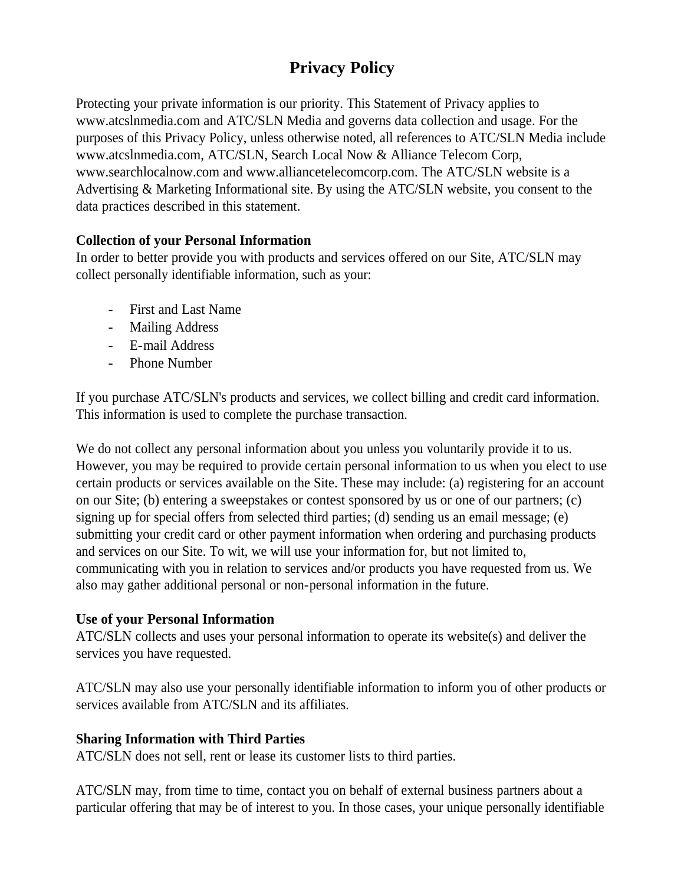# **Privacy Policy**

Protecting your private information is our priority. This Statement of Privacy applies to www.atcslnmedia.com and ATC/SLN Media and governs data collection and usage. For the purposes of this Privacy Policy, unless otherwise noted, all references to ATC/SLN Media include www.atcslnmedia.com, ATC/SLN, Search Local Now & Alliance Telecom Corp, www.searchlocalnow.com and www.alliancetelecomcorp.com. The ATC/SLN website is a Advertising & Marketing Informational site. By using the ATC/SLN website, you consent to the data practices described in this statement.

## **Collection of your Personal Information**

In order to better provide you with products and services offered on our Site, ATC/SLN may collect personally identifiable information, such as your:

- First and Last Name
- Mailing Address
- E-mail Address
- Phone Number

If you purchase ATC/SLN's products and services, we collect billing and credit card information. This information is used to complete the purchase transaction.

We do not collect any personal information about you unless you voluntarily provide it to us. However, you may be required to provide certain personal information to us when you elect to use certain products or services available on the Site. These may include: (a) registering for an account on our Site; (b) entering a sweepstakes or contest sponsored by us or one of our partners; (c) signing up for special offers from selected third parties; (d) sending us an email message; (e) submitting your credit card or other payment information when ordering and purchasing products and services on our Site. To wit, we will use your information for, but not limited to, communicating with you in relation to services and/or products you have requested from us. We also may gather additional personal or non-personal information in the future.

## **Use of your Personal Information**

ATC/SLN collects and uses your personal information to operate its website(s) and deliver the services you have requested.

ATC/SLN may also use your personally identifiable information to inform you of other products or services available from ATC/SLN and its affiliates.

## **Sharing Information with Third Parties**

ATC/SLN does not sell, rent or lease its customer lists to third parties.

ATC/SLN may, from time to time, contact you on behalf of external business partners about a particular offering that may be of interest to you. In those cases, your unique personally identifiable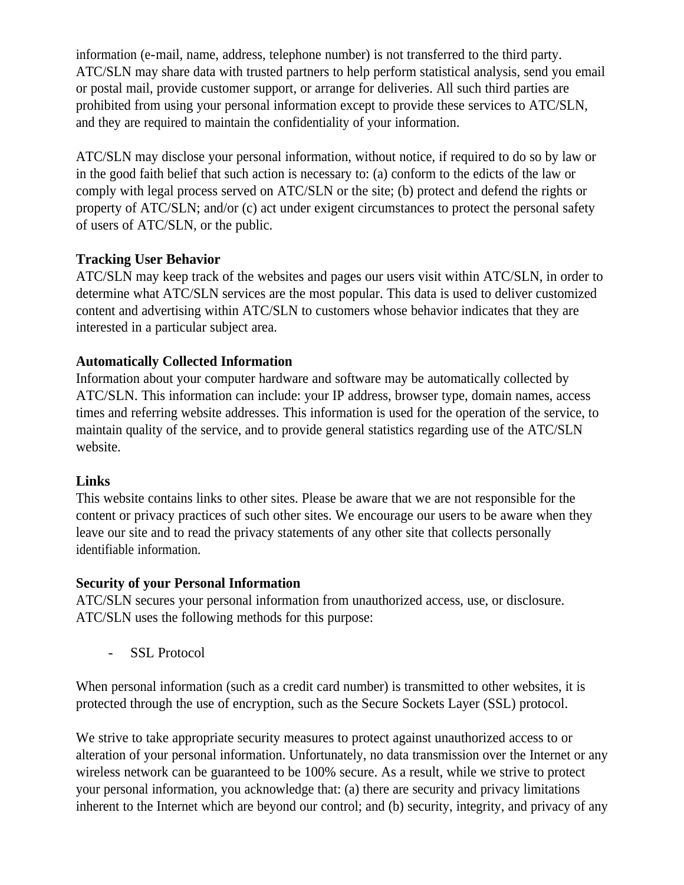information (e-mail, name, address, telephone number) is not transferred to the third party. ATC/SLN may share data with trusted partners to help perform statistical analysis, send you email or postal mail, provide customer support, or arrange for deliveries. All such third parties are prohibited from using your personal information except to provide these services to ATC/SLN, and they are required to maintain the confidentiality of your information.

ATC/SLN may disclose your personal information, without notice, if required to do so by law or in the good faith belief that such action is necessary to: (a) conform to the edicts of the law or comply with legal process served on ATC/SLN or the site; (b) protect and defend the rights or property of ATC/SLN; and/or (c) act under exigent circumstances to protect the personal safety of users of ATC/SLN, or the public.

## **Tracking User Behavior**

ATC/SLN may keep track of the websites and pages our users visit within ATC/SLN, in order to determine what ATC/SLN services are the most popular. This data is used to deliver customized content and advertising within ATC/SLN to customers whose behavior indicates that they are interested in a particular subject area.

## **Automatically Collected Information**

Information about your computer hardware and software may be automatically collected by ATC/SLN. This information can include: your IP address, browser type, domain names, access times and referring website addresses. This information is used for the operation of the service, to maintain quality of the service, and to provide general statistics regarding use of the ATC/SLN website.

#### **Links**

This website contains links to other sites. Please be aware that we are not responsible for the content or privacy practices of such other sites. We encourage our users to be aware when they leave our site and to read the privacy statements of any other site that collects personally identifiable information.

#### **Security of your Personal Information**

ATC/SLN secures your personal information from unauthorized access, use, or disclosure. ATC/SLN uses the following methods for this purpose:

- SSL Protocol

When personal information (such as a credit card number) is transmitted to other websites, it is protected through the use of encryption, such as the Secure Sockets Layer (SSL) protocol.

We strive to take appropriate security measures to protect against unauthorized access to or alteration of your personal information. Unfortunately, no data transmission over the Internet or any wireless network can be guaranteed to be 100% secure. As a result, while we strive to protect your personal information, you acknowledge that: (a) there are security and privacy limitations inherent to the Internet which are beyond our control; and (b) security, integrity, and privacy of any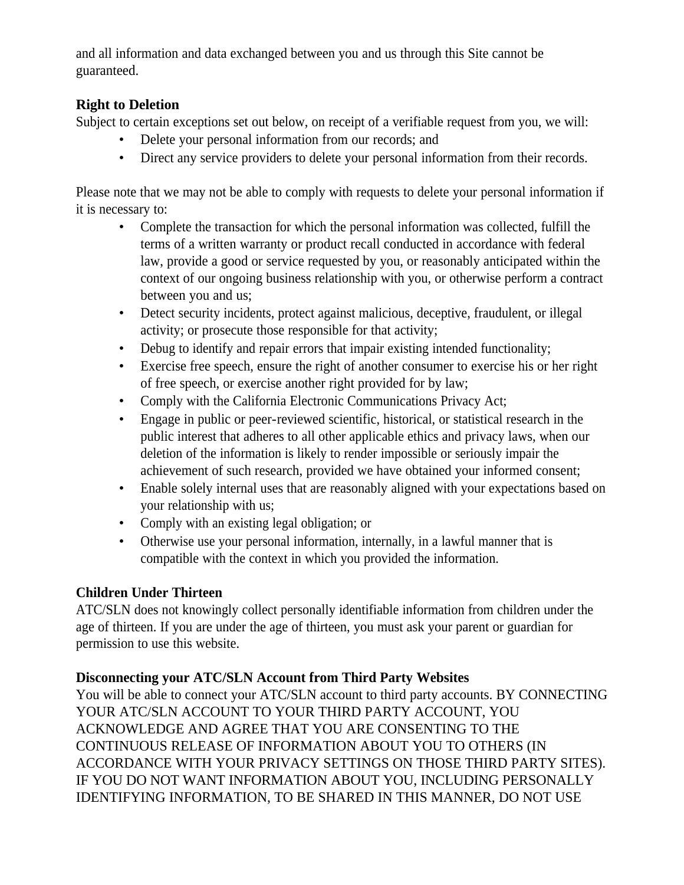and all information and data exchanged between you and us through this Site cannot be guaranteed.

## **Right to Deletion**

Subject to certain exceptions set out below, on receipt of a verifiable request from you, we will:

- Delete your personal information from our records; and
- Direct any service providers to delete your personal information from their records.

Please note that we may not be able to comply with requests to delete your personal information if it is necessary to:

- Complete the transaction for which the personal information was collected, fulfill the terms of a written warranty or product recall conducted in accordance with federal law, provide a good or service requested by you, or reasonably anticipated within the context of our ongoing business relationship with you, or otherwise perform a contract between you and us;
- Detect security incidents, protect against malicious, deceptive, fraudulent, or illegal activity; or prosecute those responsible for that activity;
- Debug to identify and repair errors that impair existing intended functionality;
- Exercise free speech, ensure the right of another consumer to exercise his or her right of free speech, or exercise another right provided for by law;
- Comply with the California Electronic Communications Privacy Act;
- Engage in public or peer-reviewed scientific, historical, or statistical research in the public interest that adheres to all other applicable ethics and privacy laws, when our deletion of the information is likely to render impossible or seriously impair the achievement of such research, provided we have obtained your informed consent;
- Enable solely internal uses that are reasonably aligned with your expectations based on your relationship with us;
- Comply with an existing legal obligation; or
- Otherwise use your personal information, internally, in a lawful manner that is compatible with the context in which you provided the information.

## **Children Under Thirteen**

ATC/SLN does not knowingly collect personally identifiable information from children under the age of thirteen. If you are under the age of thirteen, you must ask your parent or guardian for permission to use this website.

## **Disconnecting your ATC/SLN Account from Third Party Websites**

You will be able to connect your ATC/SLN account to third party accounts. BY CONNECTING YOUR ATC/SLN ACCOUNT TO YOUR THIRD PARTY ACCOUNT, YOU ACKNOWLEDGE AND AGREE THAT YOU ARE CONSENTING TO THE CONTINUOUS RELEASE OF INFORMATION ABOUT YOU TO OTHERS (IN ACCORDANCE WITH YOUR PRIVACY SETTINGS ON THOSE THIRD PARTY SITES). IF YOU DO NOT WANT INFORMATION ABOUT YOU, INCLUDING PERSONALLY IDENTIFYING INFORMATION, TO BE SHARED IN THIS MANNER, DO NOT USE